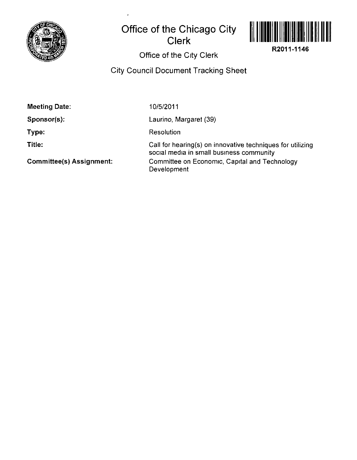

## **Office of the Chicago City Clerk**



**R2011-1146** 

## Office of the City Clerk

## City Council Document Tracking Sheet

| <b>Meeting Date:</b>            | 10/5/2011                                                                                              |
|---------------------------------|--------------------------------------------------------------------------------------------------------|
| $Sponsor(s)$ :                  | Laurino, Margaret (39)                                                                                 |
| Type:                           | Resolution                                                                                             |
| Title:                          | Call for hearing(s) on innovative techniques for utilizing<br>social media in small business community |
| <b>Committee(s) Assignment:</b> | Committee on Economic, Capital and Technology<br>Development                                           |